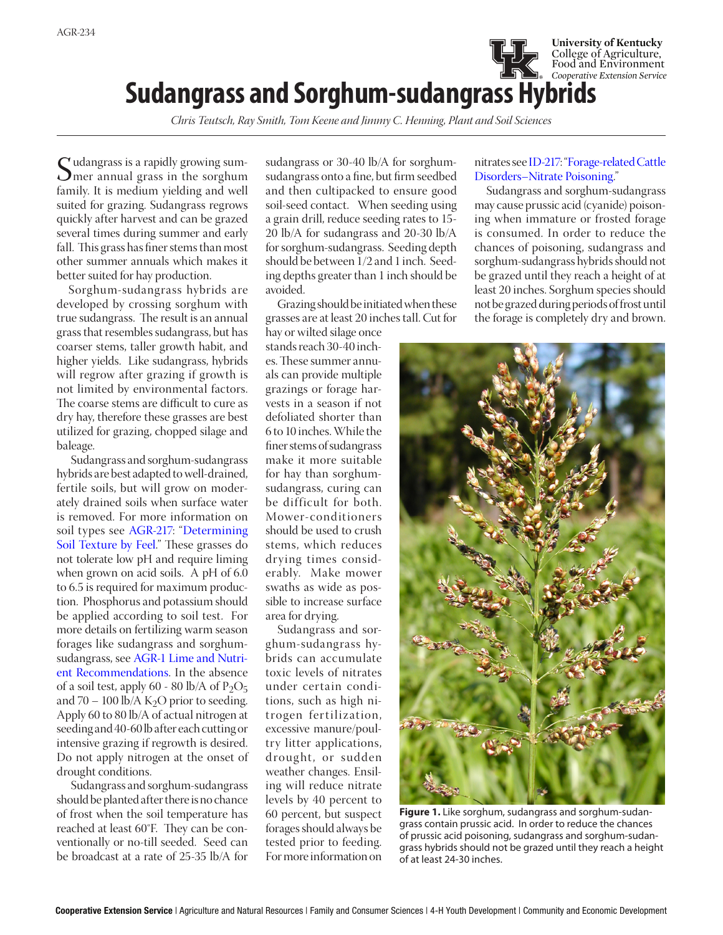## *Cooperative Extension Service* **Sudangrass and Sorghum-sudangrass Hybrids**

*Chris Teutsch, Ray Smith, Tom Keene and Jimmy C. Henning, Plant and Soil Sciences*

Sudangrass is a rapidly growing sum-mer annual grass in the sorghum family. It is medium yielding and well suited for grazing. Sudangrass regrows quickly after harvest and can be grazed several times during summer and early fall. This grass has finer stems than most other summer annuals which makes it better suited for hay production.

Sorghum-sudangrass hybrids are developed by crossing sorghum with true sudangrass. The result is an annual grass that resembles sudangrass, but has coarser stems, taller growth habit, and higher yields. Like sudangrass, hybrids will regrow after grazing if growth is not limited by environmental factors. The coarse stems are difficult to cure as dry hay, therefore these grasses are best utilized for grazing, chopped silage and baleage.

Sudangrass and sorghum-sudangrass hybrids are best adapted to well-drained, fertile soils, but will grow on moderately drained soils when surface water is removed. For more information on soil types see [AGR-217: "Determining](http://www2.ca.uky.edu/agcomm/pubs/AGR/AGR217/AGR217.pdf)  [Soil Texture by Feel.](http://www2.ca.uky.edu/agcomm/pubs/AGR/AGR217/AGR217.pdf)" These grasses do not tolerate low pH and require liming when grown on acid soils. A pH of 6.0 to 6.5 is required for maximum production. Phosphorus and potassium should be applied according to soil test. For more details on fertilizing warm season forages like sudangrass and sorghumsudangrass, see [AGR-1 Lime and Nutri](http://www2.ca.uky.edu/agcomm/pubs/agr/agr1/agr1.pdf)[ent Recommendations.](http://www2.ca.uky.edu/agcomm/pubs/agr/agr1/agr1.pdf) In the absence of a soil test, apply 60 - 80 lb/A of  $P_2O_5$ and 70 – 100 lb/A  $K_2O$  prior to seeding. Apply 60 to 80 lb/A of actual nitrogen at seeding and 40-60 lb after each cutting or intensive grazing if regrowth is desired. Do not apply nitrogen at the onset of drought conditions.

Sudangrass and sorghum-sudangrass should be planted after there is no chance of frost when the soil temperature has reached at least 60ºF. They can be conventionally or no-till seeded. Seed can be broadcast at a rate of 25-35 lb/A for

sudangrass or 30-40 lb/A for sorghumsudangrass onto a fine, but firm seedbed and then cultipacked to ensure good soil-seed contact. When seeding using a grain drill, reduce seeding rates to 15- 20 lb/A for sudangrass and 20-30 lb/A for sorghum-sudangrass. Seeding depth should be between 1/2 and 1 inch. Seeding depths greater than 1 inch should be avoided.

Grazing should be initiated when these grasses are at least 20 inches tall. Cut for

hay or wilted silage once stands reach 30-40 inches. These summer annuals can provide multiple grazings or forage harvests in a season if not defoliated shorter than 6 to 10 inches. While the finer stems of sudangrass make it more suitable for hay than sorghumsudangrass, curing can be difficult for both. Mower-conditioners should be used to crush stems, which reduces drying times considerably. Make mower swaths as wide as possible to increase surface area for drying.

Sudangrass and sorghum-sudangrass hybrids can accumulate toxic levels of nitrates under certain conditions, such as high nitrogen fertilization, excessive manure/poultry litter applications, drought, or sudden weather changes. Ensiling will reduce nitrate levels by 40 percent to 60 percent, but suspect forages should always be tested prior to feeding. For more information on

## nitrates see [ID-217: "Forage-related Cattle](https://www.uky.edu/Ag/Forage/Forage related disorders in cattle Nitrate.pdf) [Disorders–Nitrate Poisoning](https://www.uky.edu/Ag/Forage/Forage related disorders in cattle Nitrate.pdf)."

**University of Kentucky** College of Agriculture, Food and Environment

Sudangrass and sorghum-sudangrass may cause prussic acid (cyanide) poisoning when immature or frosted forage is consumed. In order to reduce the chances of poisoning, sudangrass and sorghum-sudangrass hybrids should not be grazed until they reach a height of at least 20 inches. Sorghum species should not be grazed during periods of frost until the forage is completely dry and brown.



**Figure 1.** Like sorghum, sudangrass and sorghum-sudangrass contain prussic acid. In order to reduce the chances of prussic acid poisoning, sudangrass and sorghum-sudangrass hybrids should not be grazed until they reach a height of at least 24-30 inches.